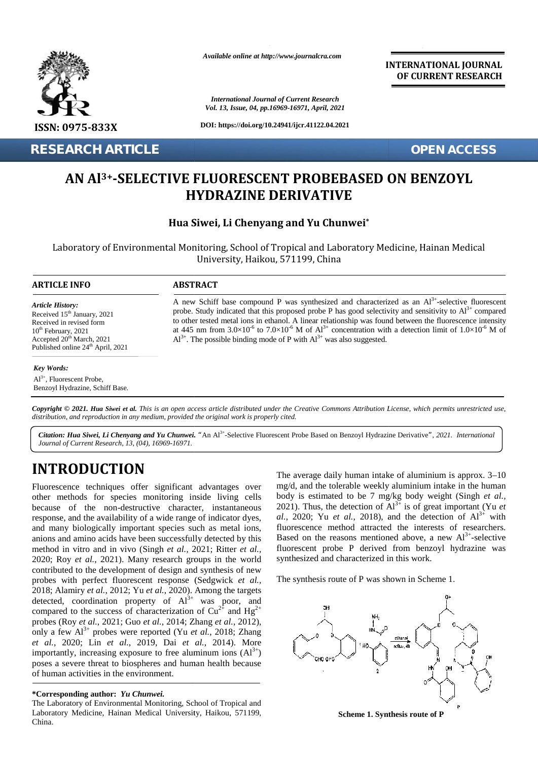

**RESEARCH ARTICLE OPEN ACCESS**

*Available online at http://www.journalcra.com*

*International Journal of Current Research Vol. 13, Issue, 04, pp.16969-16971, April, 2021*

**DOI: https://doi.org/10.24941/ijcr.41122.04.2021**

**INTERNATIONAL JOURNAL OF CURRENT RESEARCH**

# **AN Al3+-SELECTIVE FLUORESCENT PROBEBASED ON BENZOYL HYDRAZINE DERIVATIVE HYDRAZINE**

## **Hua Siwei, Li Chenyang and Yu Chunwei\* Siwei, Li**

Laboratory of Environmental Monitoring, School of Tropical and Laboratory Medicine, Hainan Medical Tropical and Medicine, ChinaUniversity, Haikou, 571199, China

#### **ARTICLE INFO ABSTRACT ARTICLE ABSTRACT**

*Article History: Article History:*

A new Schiff base compound P was synthesized and characterized as an  $Al<sup>3+</sup>$ -selective fluorescent probe. Study indicated that this proposed probe P has good selectivity and sensitivity to  $Al^{3+}$  compared to other tested metal ions in ethanol. A linear relationship was found between the fluorescence intensity at 445 nm from  $3.0\times10^{-6}$  to  $7.0\times10^{-6}$  M of  $Al^{3+}$  concentration with a detection limit of  $1.0\times10^{-6}$  M of  $Al^{3+}$ . The possible binding mode of P with  $Al^{3+}$  was also suggested. Received  $15<sup>th</sup>$  January, 2021  $10^{th}$  February, 2021 Accepted  $20<sup>th</sup>$  March, 2021 A Published online 24<sup>th</sup> April, 2021 to other tested metal ions in ethanol. A linear relationship was found between the fluorescence intensity at 445 nm from  $3.0 \times 10^6$  to  $7.0 \times 10^6$  M of  $Al^{3+}$  concentration with a detection limit of  $1.0 \times 10^6$  M of **EXECTIVE FLUORESCENT PROBEBASED ON BENZOYL**<br> **AN A1<sup>3+</sup>-SELECTIVE FLUORESCENT PROBEBASED ON BENZOYL**<br> **HYDRAZINE DERIVATIVE**<br> **HARTICLE INFORMACE SEARCHARTICE SEARCH AND AND AND THE SEARCH AND THE SEARCH CONSULTABLY AND C** *Li* Chentary, 2021<br> *Li Chentersted metal ions in ethanol. A linear realmontary and sensitivity to Al<sup>2+</sup> comparent in revised metal ions in ethanol. A linear realmontip was found between the fluorescence intentation by a* **EXECUTE THE SEAL AT A TEAM IS A SET AND INCREME DERIVATIVE**<br> **EXECUTE THE SEAL AND ISSUED AND A SET AND A SET AND A SET AND A SET AND AND INCREDUCT AND A SET AND A SET AND A SET AND A SET AND THE SEAL AND STATE A THE SEA** 

#### *Key Words:*

Al3+ , Fluorescent Probe, Benzoyl Hydrazine, Schiff Base.

Received 15 January, 2021<br>Received in revised form

**Copyright © 2021. Hua Siwei et al.** This is an open access article distributed under the Creative Commons Attribution License, which permits unrestricted use,<br>distribution, and reproduction in any medium, provided the ori *distribution, and reproduction in any medium, provided the original work is properly cited.*

*Citation: Hua Siwei, Li Chenyang and Yu Chunwei. "*An Al3+ -Selective Fluorescent Probe Based on Benzoyl Hydrazine Derivative*", 2021. International Journal of Current Research, 13, (04), 16969-16971.*

# **INTRODUCTION INTRODUCTION**

Fluorescence techniques offer significant advantages over Fluorescence other methods for species monitoring inside living cells because of the non-destructive character, instantaneous other methods for species monitoring inside living cells<br>because of the non-destructive character, instantaneous<br>response, and the availability of a wide range of indicator dyes, and many biologically important species such as metal ions, anions and amino acids have been successfully detected by this anions method in vitro and in vivo (Singh *et al., 2021*; Ritter *et al.,* 2020; Roy *et al.*, 2021). Many research groups in the world contributed to the development of design and synthesis of new probes with perfect fluorescent response (Sedgwick *et al.,* 2018; Alamiry *et al.*, 2012; Yu *et al.*, 2020). Among the targets detected, coordination property of  $Al^{3+}$  was poor, and compared to the success of characterization of  $Cu^{2+}$  and  $Hg^{2+}$ probes (Roy *et al.*, 2021; Guo *et al.*, 2014; Zhang *et al.*, 2012), only a few  $Al^{3+}$  probes were reported (Yu *et al.*, 2018; Zhang *et al.*, 2020; Lin *et al.*, 2019, Dai *et al.*, 2014). More *et al. et* importantly, increasing exposure to free aluminum ions  $(AI^{3+})$ poses a severe threat to biospheres and human health because of human activities in the environment. of human activities in the environment. 2020; Roy *et al.*, 2021). Many research groups in the world contributed to the development of design and synthesis of new probes with perfect fluorescent response (Sedgwick *et al.,* 2020; Roy *et al.*, 2021). Many research groups in the world contributed to the development of design and synthesis of new probes with perfect fluorescent response (Sedgwick *et al.*, 2018; Alamiry *et al.*, 2012; Yu *et* The Laboratory Haina Medical University, China.aluminium approx. China.aluminium approx. China.aluminium approx. China.aluminium approx. China.aluminium approx. Body and the china.aluminium approx. Body and the china. Sin

#### **\*Corresponding author:** *Yu Chunwei.* **\*Corresponding**

The Laboratory of Environmental Monitoring, School of Tropical and Laboratory Medicine, Hainan Medical University, Haikou, 571199, China.

The average daily human intake of aluminium is approx. 3–10 mg/d, and the tolerable weekly aluminium intake in the human body is estimated to be 7 mg/kg body weight (Singh *et al.,* 2021). Thus, the detection of  $Al^{3+}$  is of great important (Yu *et al.*, 2020; Yu *et al.*, 2018), and the detection of  $Al^{3+}$  with fluorescence method attracted the interests of researchers. Based on the reasons mentioned above, a new  $Al^{3+}$ -selective fluorescent probe P derived from benzoyl hydrazine was synthesized and characterized in this work.

The synthesis route of P was shown in Scheme 1.



**Scheme 1. Synthesis route of P**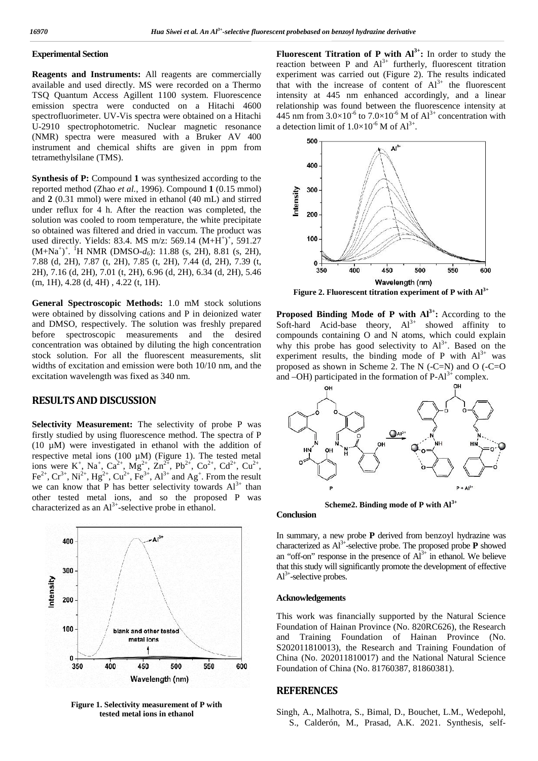## **Experimental Section**

**Reagents and Instruments:** All reagents are commercially available and used directly. MS were recorded on a Thermo TSQ Quantum Access Agillent 1100 system. Fluorescence emission spectra were conducted on a Hitachi 4600 spectrofluorimeter. UV-Vis spectra were obtained on a Hitachi U-2910 spectrophotometric. Nuclear magnetic resonance (NMR) spectra were measured with a Bruker AV 400 instrument and chemical shifts are given in ppm from tetramethylsilane (TMS).

**Synthesis of P:** Compound **1** was synthesized according to the reported method (Zhao *et al.*, 1996). Compound **1** (0.15 mmol) reported method (Zhao *et al.*, 1996). Compound 1 (0.15 mmol)<br>and 2 (0.31 mmol) were mixed in ethanol (40 mL) and stirred<br>under reflux for 4 h. After the reaction was completed, the under reflux for 4 h. After the reaction was completed, the solution was cooled to room temperature, the white precipitate so obtained was filtered and dried in vaccum. The product was used directly. Yields: 83.4. MS m/z: 569.14  $(M+H^+)^+$ , 591.27  $(M+Na^{+})^{+}$ . <sup>1</sup>H NMR (DMSO- $d_6$ ): 11.88 (s, 2H), 8.81 (s, 2H), 7.88 (d, 2H), 7.87 (t, 2H), 7.85 (t, 2H), 7.44 (d, 2H), 7.39 (t, 2H), 7.16 (d, 2H), 7.01 (t, 2H), 6.96 (d, 2H), 6.34 (d, 2H), 5.46 (m, 1H), 4.28 (d, 4H) , 4.22 (t, 1H).

**General Spectroscopic Methods:** 1.0 mM stock solutions were obtained by dissolving cations and P in deionized water and DMSO, respectively. The solution was freshly prepared before spectroscopic measurements and the desired concentration was obtained by diluting the high concentration stock solution. For all the fluorescent measurements, slit widths of excitation and emission were both 10/10 nm, and the excitation wavelength was fixed as 340 nm.

## **RESULTS AND DISCUSSION**

**Selectivity Measurement:** The selectivity of probe P was firstly studied by using fluorescence method. The spectra of P (10  $\mu$ M) were investigated in ethanol with the addition of respective metal ions (100  $\mu$ M) (Figure 1). The tested metal ions were K<sup>+</sup>, Na<sup>+</sup>, Ca<sup>2+</sup>, Mg<sup>2+</sup>, Zn<sup>2+</sup>, Pb<sup>2+</sup>, Co<sup>2+</sup>, Cd<sup>2+</sup>, Cu<sup>2+</sup>, Fe<sup>2+</sup>, Cr<sup>3+</sup>, Ni<sup>2+</sup>, Hg<sup>2+</sup>, Cu<sup>2+</sup>, Fe<sup>3+</sup>, Al<sup>3+</sup> and Ag<sup>+</sup>. From the result we can know that P has better selectivity towards  $Al^{3+}$  than other tested metal ions, and so the proposed P was characterized as an  $Al^{3+}$ -selective probe in ethanol.



**Figure 1. Selectivity measurement of P with tested metal ions in ethanol**

**Fluorescent Titration of P with Al3+:** In order to study the reaction between P and  $Al^{3+}$  furtherly, fluorescent titration experiment was carried out (Figure 2). The results indicated that with the increase of content of  $Al^{3+}$  the fluorescent intensity at 445 nm enhanced accordingly, and a linear relationship was found between the fluorescence intensity at 445 nm from  $3.0 \times 10^{-6}$  to  $7.0 \times 10^{-6}$  M of  $Al^{3+}$  concentration with a detection limit of  $1.0 \times 10^{-6}$  M of  $Al^{3+}$ .



**Figure 2. Fluorescent titration experiment of P with Al3+**

**Proposed Binding Mode of P with Al3+:** According to the Soft-hard Acid-base theory,  $Al^{3+}$  showed affinity to compounds containing O and N atoms, which could explain why this probe has good selectivity to  $Al^{3+}$ . Based on the experiment results, the binding mode of P with  $Al^{3+}$  was proposed as shown in Scheme 2. The N  $(-C=N)$  and O  $(-C=O)$ and  $-OH$ ) participated in the formation of P- $Al^{3+}$  complex.



**Scheme2. Binding mode of P with Al3+**

### **Conclusion**

In summary, a new probe **P** derived from benzoyl hydrazine was characterized as  $AI^{3+}$ -selective probe. The proposed probe  $P$  showed an "off-on" response in the presence of  $Al^{3+}$  in ethanol. We believe that this study will significantly promote the development of effective  $Al^{3+}$ -selective probes.

#### **Acknowledgements**

This work was financially supported by the Natural Science Foundation of Hainan Province (No. 820RC626), the Research and Training Foundation of Hainan Province (No. S202011810013), the Research and Training Foundation of China (No. 202011810017) and the National Natural Science Foundation of China (No. 81760387, 81860381).

### **REFERENCES**

Singh, A., Malhotra, S., Bimal, D., Bouchet, L.M., Wedepohl, S., Calderón, M., Prasad, A.K. 2021. Synthesis, self